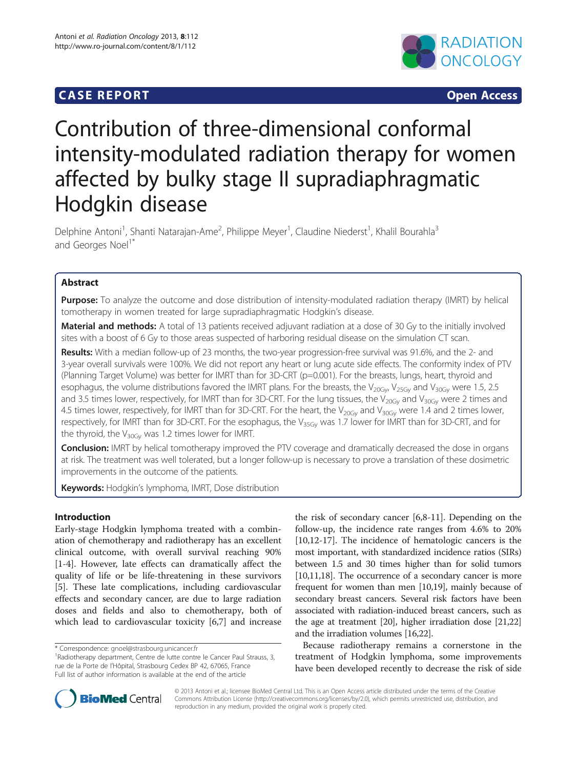## **CASE REPORT CASE REPORT CASE REPORT**



# Contribution of three-dimensional conformal intensity-modulated radiation therapy for women affected by bulky stage II supradiaphragmatic Hodgkin disease

Delphine Antoni<sup>1</sup>, Shanti Natarajan-Ame<sup>2</sup>, Philippe Meyer<sup>1</sup>, Claudine Niederst<sup>1</sup>, Khalil Bourahla<sup>3</sup> and Georges Noel<sup>1\*</sup>

## Abstract

Purpose: To analyze the outcome and dose distribution of intensity-modulated radiation therapy (IMRT) by helical tomotherapy in women treated for large supradiaphragmatic Hodgkin's disease.

Material and methods: A total of 13 patients received adjuvant radiation at a dose of 30 Gy to the initially involved sites with a boost of 6 Gy to those areas suspected of harboring residual disease on the simulation CT scan.

Results: With a median follow-up of 23 months, the two-year progression-free survival was 91.6%, and the 2- and 3-year overall survivals were 100%. We did not report any heart or lung acute side effects. The conformity index of PTV (Planning Target Volume) was better for IMRT than for 3D-CRT (p=0.001). For the breasts, lungs, heart, thyroid and esophagus, the volume distributions favored the IMRT plans. For the breasts, the V<sub>20Gy</sub>, V<sub>25Gy</sub> and V<sub>30Gy</sub> were 1.5, 2.5 and 3.5 times lower, respectively, for IMRT than for 3D-CRT. For the lung tissues, the  $V_{20Gy}$  and  $V_{30Gy}$  were 2 times and 4.5 times lower, respectively, for IMRT than for 3D-CRT. For the heart, the V<sub>20Gy</sub> and V<sub>30Gy</sub> were 1.4 and 2 times lower, respectively, for IMRT than for 3D-CRT. For the esophagus, the V<sub>35Gy</sub> was 1.7 lower for IMRT than for 3D-CRT, and for the thyroid, the  $V_{30Gy}$  was 1.2 times lower for IMRT.

**Conclusion:** IMRT by helical tomotherapy improved the PTV coverage and dramatically decreased the dose in organs at risk. The treatment was well tolerated, but a longer follow-up is necessary to prove a translation of these dosimetric improvements in the outcome of the patients.

Keywords: Hodgkin's lymphoma, IMRT, Dose distribution

## Introduction

Early-stage Hodgkin lymphoma treated with a combination of chemotherapy and radiotherapy has an excellent clinical outcome, with overall survival reaching 90% [[1-4](#page-9-0)]. However, late effects can dramatically affect the quality of life or be life-threatening in these survivors [[5\]](#page-9-0). These late complications, including cardiovascular effects and secondary cancer, are due to large radiation doses and fields and also to chemotherapy, both of which lead to cardiovascular toxicity [[6,7\]](#page-9-0) and increase

the risk of secondary cancer [\[6,8](#page-9-0)-[11\]](#page-9-0). Depending on the follow-up, the incidence rate ranges from 4.6% to 20% [[10,12-17\]](#page-9-0). The incidence of hematologic cancers is the most important, with standardized incidence ratios (SIRs) between 1.5 and 30 times higher than for solid tumors [[10](#page-9-0),[11,18\]](#page-9-0). The occurrence of a secondary cancer is more frequent for women than men [[10,19\]](#page-9-0), mainly because of secondary breast cancers. Several risk factors have been associated with radiation-induced breast cancers, such as the age at treatment [[20](#page-9-0)], higher irradiation dose [\[21,22](#page-9-0)] and the irradiation volumes [[16,22](#page-9-0)].

Because radiotherapy remains a cornerstone in the treatment of Hodgkin lymphoma, some improvements have been developed recently to decrease the risk of side



© 2013 Antoni et al.; licensee BioMed Central Ltd. This is an Open Access article distributed under the terms of the Creative Commons Attribution License [\(http://creativecommons.org/licenses/by/2.0\)](http://creativecommons.org/licenses/by/2.0), which permits unrestricted use, distribution, and reproduction in any medium, provided the original work is properly cited.

<sup>\*</sup> Correspondence: [gnoel@strasbourg.unicancer.fr](mailto:gnoel@strasbourg.unicancer.fr) <sup>1</sup>

<sup>&</sup>lt;sup>1</sup>Radiotherapy department, Centre de lutte contre le Cancer Paul Strauss, 3, rue de la Porte de l'Hôpital, Strasbourg Cedex BP 42, 67065, France Full list of author information is available at the end of the article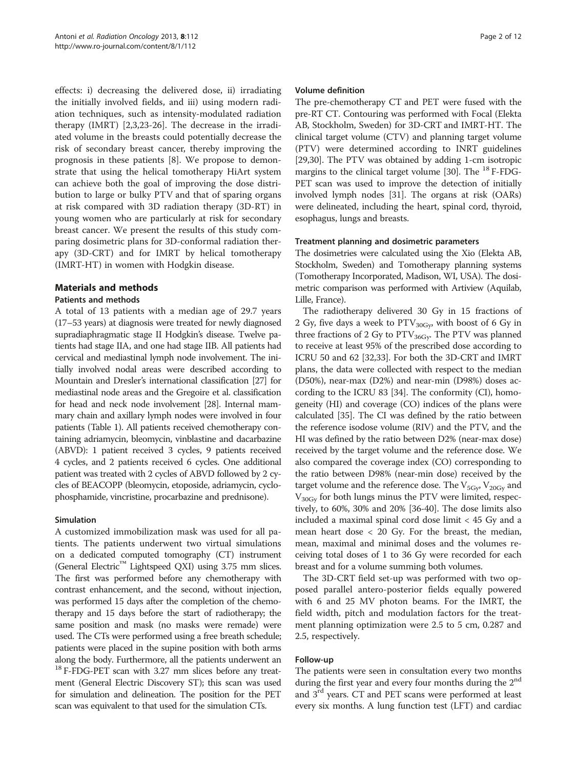effects: i) decreasing the delivered dose, ii) irradiating the initially involved fields, and iii) using modern radiation techniques, such as intensity-modulated radiation therapy (IMRT) [[2,3,23-26](#page-9-0)]. The decrease in the irradiated volume in the breasts could potentially decrease the risk of secondary breast cancer, thereby improving the prognosis in these patients [[8\]](#page-9-0). We propose to demonstrate that using the helical tomotherapy HiArt system can achieve both the goal of improving the dose distribution to large or bulky PTV and that of sparing organs at risk compared with 3D radiation therapy (3D-RT) in young women who are particularly at risk for secondary breast cancer. We present the results of this study comparing dosimetric plans for 3D-conformal radiation therapy (3D-CRT) and for IMRT by helical tomotherapy (IMRT-HT) in women with Hodgkin disease.

## Materials and methods

## Patients and methods

A total of 13 patients with a median age of 29.7 years (17–53 years) at diagnosis were treated for newly diagnosed supradiaphragmatic stage II Hodgkin's disease. Twelve patients had stage IIA, and one had stage IIB. All patients had cervical and mediastinal lymph node involvement. The initially involved nodal areas were described according to Mountain and Dresler's international classification [\[27\]](#page-9-0) for mediastinal node areas and the Gregoire et al. classification for head and neck node involvement [[28](#page-9-0)]. Internal mammary chain and axillary lymph nodes were involved in four patients (Table [1](#page-2-0)). All patients received chemotherapy containing adriamycin, bleomycin, vinblastine and dacarbazine (ABVD): 1 patient received 3 cycles, 9 patients received 4 cycles, and 2 patients received 6 cycles. One additional patient was treated with 2 cycles of ABVD followed by 2 cycles of BEACOPP (bleomycin, etoposide, adriamycin, cyclophosphamide, vincristine, procarbazine and prednisone).

## Simulation

A customized immobilization mask was used for all patients. The patients underwent two virtual simulations on a dedicated computed tomography (CT) instrument (General Electric™ Lightspeed QXI) using 3.75 mm slices. The first was performed before any chemotherapy with contrast enhancement, and the second, without injection, was performed 15 days after the completion of the chemotherapy and 15 days before the start of radiotherapy; the same position and mask (no masks were remade) were used. The CTs were performed using a free breath schedule; patients were placed in the supine position with both arms along the body. Furthermore, all the patients underwent an <sup>18</sup> F-FDG-PET scan with 3.27 mm slices before any treatment (General Electric Discovery ST); this scan was used for simulation and delineation. The position for the PET scan was equivalent to that used for the simulation CTs.

#### Volume definition

The pre-chemotherapy CT and PET were fused with the pre-RT CT. Contouring was performed with Focal (Elekta AB, Stockholm, Sweden) for 3D-CRT and IMRT-HT. The clinical target volume (CTV) and planning target volume (PTV) were determined according to INRT guidelines [[29](#page-9-0),[30](#page-9-0)]. The PTV was obtained by adding 1-cm isotropic margins to the clinical target volume [\[30\]](#page-9-0). The  $^{18}$  F-FDG-PET scan was used to improve the detection of initially involved lymph nodes [[31](#page-9-0)]. The organs at risk (OARs) were delineated, including the heart, spinal cord, thyroid, esophagus, lungs and breasts.

## Treatment planning and dosimetric parameters

The dosimetries were calculated using the Xio (Elekta AB, Stockholm, Sweden) and Tomotherapy planning systems (Tomotherapy Incorporated, Madison, WI, USA). The dosimetric comparison was performed with Artiview (Aquilab, Lille, France).

The radiotherapy delivered 30 Gy in 15 fractions of 2 Gy, five days a week to  $PTV_{30Gy}$ , with boost of 6 Gy in three fractions of 2 Gy to  $PTV_{36Gv}$ . The PTV was planned to receive at least 95% of the prescribed dose according to ICRU 50 and 62 [[32,33](#page-9-0)]. For both the 3D-CRT and IMRT plans, the data were collected with respect to the median (D50%), near-max (D2%) and near-min (D98%) doses according to the ICRU 83 [[34](#page-9-0)]. The conformity (CI), homogeneity (HI) and coverage (CO) indices of the plans were calculated [\[35\]](#page-9-0). The CI was defined by the ratio between the reference isodose volume (RIV) and the PTV, and the HI was defined by the ratio between D2% (near-max dose) received by the target volume and the reference dose. We also compared the coverage index (CO) corresponding to the ratio between D98% (near-min dose) received by the target volume and the reference dose. The  $V_{5Gy}$ ,  $V_{20Gy}$  and  $V_{30\text{Gv}}$  for both lungs minus the PTV were limited, respectively, to 60%, 30% and 20% [\[36](#page-9-0)[-40\]](#page-10-0). The dose limits also included a maximal spinal cord dose limit < 45 Gy and a mean heart dose < 20 Gy. For the breast, the median, mean, maximal and minimal doses and the volumes receiving total doses of 1 to 36 Gy were recorded for each breast and for a volume summing both volumes.

The 3D-CRT field set-up was performed with two opposed parallel antero-posterior fields equally powered with 6 and 25 MV photon beams. For the IMRT, the field width, pitch and modulation factors for the treatment planning optimization were 2.5 to 5 cm, 0.287 and 2.5, respectively.

## Follow-up

The patients were seen in consultation every two months during the first year and every four months during the  $2<sup>na</sup>$ and 3rd years. CT and PET scans were performed at least every six months. A lung function test (LFT) and cardiac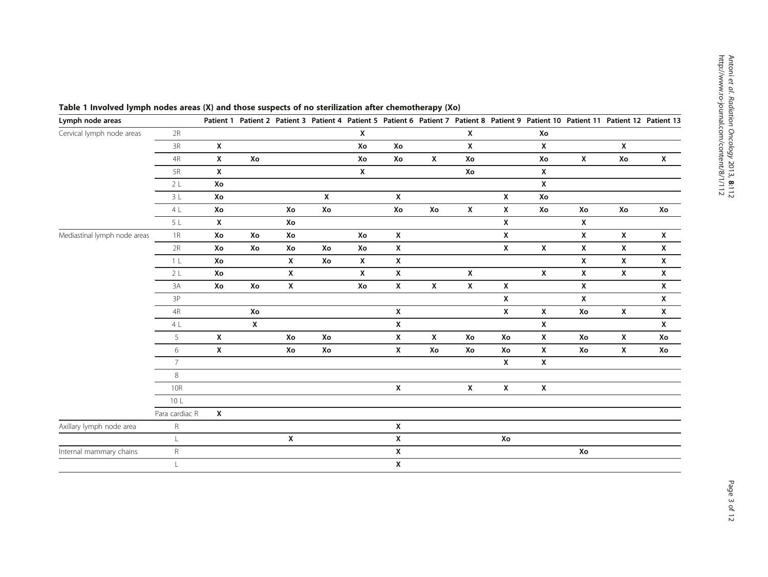| Lymph node areas             |                |                           |    |                    |                    |                    |                    |                    |                           |                    |                    |                    | Patient 1 Patient 2 Patient 3 Patient 4 Patient 5 Patient 6 Patient 7 Patient 8 Patient 9 Patient 10 Patient 11 Patient 12 Patient 13 |                    |
|------------------------------|----------------|---------------------------|----|--------------------|--------------------|--------------------|--------------------|--------------------|---------------------------|--------------------|--------------------|--------------------|---------------------------------------------------------------------------------------------------------------------------------------|--------------------|
| Cervical lymph node areas    | 2R             |                           |    |                    |                    | X                  |                    |                    | X                         |                    | Xo                 |                    |                                                                                                                                       |                    |
|                              | 3R             | $\boldsymbol{\mathsf{x}}$ |    |                    |                    | Xo                 | Xo                 |                    | $\pmb{\mathsf{x}}$        |                    | X                  |                    | $\mathsf{x}$                                                                                                                          |                    |
|                              | $4\mathsf{R}$  | $\pmb{\chi}$              | Xo |                    |                    | Xo                 | Xo                 | $\pmb{\mathsf{X}}$ | Xo                        |                    | Xo                 | $\pmb{\mathsf{X}}$ | Xo                                                                                                                                    | $\pmb{\mathsf{X}}$ |
|                              | $5R$           | X                         |    |                    |                    | X                  |                    |                    | Xo                        |                    | X                  |                    |                                                                                                                                       |                    |
|                              | 2 <sub>L</sub> | Xo                        |    |                    |                    |                    |                    |                    |                           |                    | X                  |                    |                                                                                                                                       |                    |
|                              | 3L             | Xo                        |    |                    | $\pmb{\mathsf{X}}$ |                    | $\pmb{\chi}$       |                    |                           | X                  | Xo                 |                    |                                                                                                                                       |                    |
|                              | 4 <sub>L</sub> | Xo                        |    | Xo                 | Xo                 |                    | Xo                 | Xo                 | $\boldsymbol{\mathsf{x}}$ | X                  | Xo                 | Xo                 | Xo                                                                                                                                    | Xo                 |
|                              | 5 <sub>L</sub> | $\boldsymbol{x}$          |    | Xo                 |                    |                    |                    |                    |                           | X                  |                    | X                  |                                                                                                                                       |                    |
| Mediastinal lymph node areas | $1\mathrm{R}$  | Xo                        | Xo | Xo                 |                    | Xo                 | $\pmb{\mathsf{X}}$ |                    |                           | $\pmb{\mathsf{x}}$ |                    | $\mathsf{X}$       | $\pmb{\mathsf{X}}$                                                                                                                    | $\pmb{\mathsf{X}}$ |
|                              | 2R             | Xo                        | Xo | Xo                 | Xo                 | Xo                 | X                  |                    |                           | X                  | X                  | X                  | X                                                                                                                                     | $\pmb{\mathsf{X}}$ |
|                              | 1 <sub>L</sub> | Xo                        |    | X                  | Xo                 | $\pmb{\mathsf{X}}$ | X                  |                    |                           |                    |                    | X                  | X                                                                                                                                     | $\pmb{\mathsf{X}}$ |
|                              | 2L             | Xo                        |    | $\pmb{\mathsf{X}}$ |                    | $\mathbf{x}$       | $\pmb{\mathsf{X}}$ |                    | $\mathbf{x}$              |                    | $\pmb{\mathsf{X}}$ | $\pmb{\mathsf{X}}$ | $\pmb{\mathsf{X}}$                                                                                                                    | $\pmb{\mathsf{X}}$ |
|                              | 3A             | Xo                        | Xo | $\pmb{\mathsf{X}}$ |                    | Xo                 | $\pmb{\mathsf{X}}$ | $\mathsf{x}$       | X                         | X                  |                    | X                  |                                                                                                                                       | $\pmb{\mathsf{X}}$ |
|                              | 3P             |                           |    |                    |                    |                    |                    |                    |                           | X                  |                    | X                  |                                                                                                                                       | $\pmb{\mathsf{X}}$ |
|                              | 4R             |                           | Xo |                    |                    |                    | $\pmb{\mathsf{X}}$ |                    |                           | X                  | X                  | Xo                 | $\pmb{\mathsf{X}}$                                                                                                                    | $\pmb{\mathsf{X}}$ |
|                              | 4L             |                           | X  |                    |                    |                    | X                  |                    |                           |                    | X                  |                    |                                                                                                                                       | X                  |
|                              | 5              | $\pmb{\mathsf{x}}$        |    | Xo                 | Xo                 |                    | $\pmb{\mathsf{X}}$ | $\pmb{\mathsf{X}}$ | Xo                        | Xo                 | $\pmb{\mathsf{X}}$ | Xo                 | $\pmb{\mathsf{x}}$                                                                                                                    | Xo                 |
|                              | 6              | $\pmb{\mathsf{x}}$        |    | Xo                 | Xo                 |                    | $\pmb{\mathsf{X}}$ | Xo                 | Xo                        | Xo                 | $\pmb{\mathsf{X}}$ | Xo                 | $\pmb{\mathsf{X}}$                                                                                                                    | Xo                 |
|                              | $\overline{7}$ |                           |    |                    |                    |                    |                    |                    |                           | X                  | $\pmb{\mathsf{X}}$ |                    |                                                                                                                                       |                    |
|                              | $\,8\,$        |                           |    |                    |                    |                    |                    |                    |                           |                    |                    |                    |                                                                                                                                       |                    |
|                              | <b>10R</b>     |                           |    |                    |                    |                    | $\pmb{\mathsf{X}}$ |                    | $\pmb{\mathsf{X}}$        | X                  | $\pmb{\mathsf{X}}$ |                    |                                                                                                                                       |                    |
|                              | 10 L           |                           |    |                    |                    |                    |                    |                    |                           |                    |                    |                    |                                                                                                                                       |                    |
|                              | Para cardiac R | $\mathbf{x}$              |    |                    |                    |                    |                    |                    |                           |                    |                    |                    |                                                                                                                                       |                    |
| Axillary lymph node area     | $\mathsf R$    |                           |    |                    |                    |                    | $\pmb{\mathsf{X}}$ |                    |                           |                    |                    |                    |                                                                                                                                       |                    |
|                              | $\mathsf{L}$   |                           |    | $\pmb{\mathsf{X}}$ |                    |                    | $\pmb{\mathsf{X}}$ |                    |                           | Xo                 |                    |                    |                                                                                                                                       |                    |
| Internal mammary chains      | $\mathsf R$    |                           |    |                    |                    |                    | $\pmb{\mathsf{X}}$ |                    |                           |                    |                    | Xo                 |                                                                                                                                       |                    |
|                              | $\mathsf{L}$   |                           |    |                    |                    |                    | $\pmb{\mathsf{X}}$ |                    |                           |                    |                    |                    |                                                                                                                                       |                    |
|                              |                |                           |    |                    |                    |                    |                    |                    |                           |                    |                    |                    |                                                                                                                                       |                    |

## <span id="page-2-0"></span>Table 1 Involved lymph nodes areas (X) and those suspects of no sterilization after chemotherapy (Xo)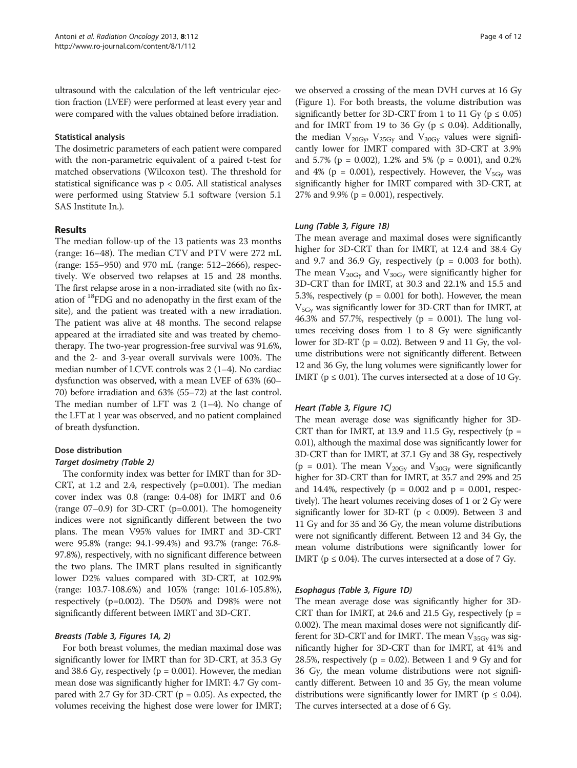ultrasound with the calculation of the left ventricular ejection fraction (LVEF) were performed at least every year and were compared with the values obtained before irradiation.

#### Statistical analysis

The dosimetric parameters of each patient were compared with the non-parametric equivalent of a paired t-test for matched observations (Wilcoxon test). The threshold for statistical significance was p < 0.05. All statistical analyses were performed using Statview 5.1 software (version 5.1 SAS Institute In.).

## Results

The median follow-up of the 13 patients was 23 months (range: 16–48). The median CTV and PTV were 272 mL (range: 155–950) and 970 mL (range: 512–2666), respectively. We observed two relapses at 15 and 28 months. The first relapse arose in a non-irradiated site (with no fixation of 18FDG and no adenopathy in the first exam of the site), and the patient was treated with a new irradiation. The patient was alive at 48 months. The second relapse appeared at the irradiated site and was treated by chemotherapy. The two-year progression-free survival was 91.6%, and the 2- and 3-year overall survivals were 100%. The median number of LCVE controls was 2 (1–4). No cardiac dysfunction was observed, with a mean LVEF of 63% (60– 70) before irradiation and 63% (55–72) at the last control. The median number of LFT was 2 (1–4). No change of the LFT at 1 year was observed, and no patient complained of breath dysfunction.

## Dose distribution

## Target dosimetry (Table [2](#page-4-0))

The conformity index was better for IMRT than for 3D-CRT, at 1.2 and 2.4, respectively (p=0.001). The median cover index was 0.8 (range: 0.4-08) for IMRT and 0.6 (range 07–0.9) for 3D-CRT (p=0.001). The homogeneity indices were not significantly different between the two plans. The mean V95% values for IMRT and 3D-CRT were 95.8% (range: 94.1-99.4%) and 93.7% (range: 76.8- 97.8%), respectively, with no significant difference between the two plans. The IMRT plans resulted in significantly lower D2% values compared with 3D-CRT, at 102.9% (range: 103.7-108.6%) and 105% (range: 101.6-105.8%), respectively (p=0.002). The D50% and D98% were not significantly different between IMRT and 3D-CRT.

## Breasts (Table [3](#page-5-0), Figures [1A](#page-6-0), [2\)](#page-7-0)

For both breast volumes, the median maximal dose was significantly lower for IMRT than for 3D-CRT, at 35.3 Gy and 38.6 Gy, respectively ( $p = 0.001$ ). However, the median mean dose was significantly higher for IMRT: 4.7 Gy compared with 2.7 Gy for 3D-CRT ( $p = 0.05$ ). As expected, the volumes receiving the highest dose were lower for IMRT;

we observed a crossing of the mean DVH curves at 16 Gy (Figure [1\)](#page-6-0). For both breasts, the volume distribution was significantly better for 3D-CRT from 1 to 11 Gy ( $p \le 0.05$ ) and for IMRT from 19 to 36 Gy ( $p \le 0.04$ ). Additionally, the median  $V_{20\text{Gy}}$ ,  $V_{25\text{Gy}}$  and  $V_{30\text{Gy}}$  values were significantly lower for IMRT compared with 3D-CRT at 3.9% and 5.7% ( $p = 0.002$ ), 1.2% and 5% ( $p = 0.001$ ), and 0.2% and 4% ( $p = 0.001$ ), respectively. However, the  $V_{5G_V}$  was significantly higher for IMRT compared with 3D-CRT, at 27% and 9.9% (p = 0.001), respectively.

## Lung (Table [3,](#page-5-0) Figure [1](#page-6-0)B)

The mean average and maximal doses were significantly higher for 3D-CRT than for IMRT, at 12.4 and 38.4 Gy and 9.7 and 36.9 Gy, respectively ( $p = 0.003$  for both). The mean  $V_{20Gy}$  and  $V_{30Gy}$  were significantly higher for 3D-CRT than for IMRT, at 30.3 and 22.1% and 15.5 and 5.3%, respectively ( $p = 0.001$  for both). However, the mean  $V_{5Gy}$  was significantly lower for 3D-CRT than for IMRT, at 46.3% and 57.7%, respectively ( $p = 0.001$ ). The lung volumes receiving doses from 1 to 8 Gy were significantly lower for 3D-RT ( $p = 0.02$ ). Between 9 and 11 Gy, the volume distributions were not significantly different. Between 12 and 36 Gy, the lung volumes were significantly lower for IMRT ( $p \le 0.01$ ). The curves intersected at a dose of 10 Gy.

## Heart (Table [3,](#page-5-0) Figure [1](#page-6-0)C)

The mean average dose was significantly higher for 3D-CRT than for IMRT, at 13.9 and 11.5 Gy, respectively ( $p =$ 0.01), although the maximal dose was significantly lower for 3D-CRT than for IMRT, at 37.1 Gy and 38 Gy, respectively (p = 0.01). The mean  $V_{20Gy}$  and  $V_{30Gy}$  were significantly higher for 3D-CRT than for IMRT, at 35.7 and 29% and 25 and 14.4%, respectively ( $p = 0.002$  and  $p = 0.001$ , respectively). The heart volumes receiving doses of 1 or 2 Gy were significantly lower for 3D-RT ( $p < 0.009$ ). Between 3 and 11 Gy and for 35 and 36 Gy, the mean volume distributions were not significantly different. Between 12 and 34 Gy, the mean volume distributions were significantly lower for IMRT ( $p \le 0.04$ ). The curves intersected at a dose of 7 Gy.

## Esophagus (Table [3](#page-5-0), Figure [1D](#page-6-0))

The mean average dose was significantly higher for 3D-CRT than for IMRT, at 24.6 and 21.5 Gy, respectively ( $p =$ 0.002). The mean maximal doses were not significantly different for 3D-CRT and for IMRT. The mean  $V_{35Gy}$  was significantly higher for 3D-CRT than for IMRT, at 41% and 28.5%, respectively ( $p = 0.02$ ). Between 1 and 9 Gy and for 36 Gy, the mean volume distributions were not significantly different. Between 10 and 35 Gy, the mean volume distributions were significantly lower for IMRT ( $p \le 0.04$ ). The curves intersected at a dose of 6 Gy.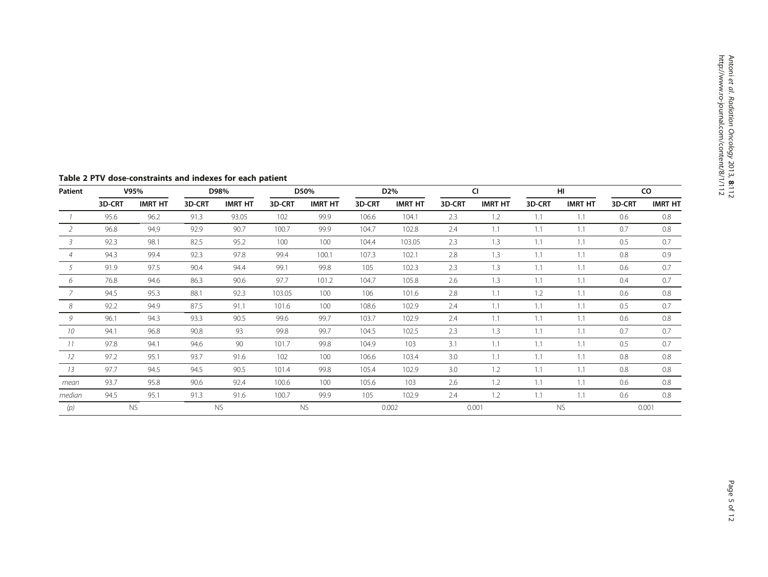| Patient        | V95%      |                | D98%      |                | D50%      |                | D <sub>2%</sub> |                | CI     |                | HI        |                | <b>CO</b> |                |
|----------------|-----------|----------------|-----------|----------------|-----------|----------------|-----------------|----------------|--------|----------------|-----------|----------------|-----------|----------------|
|                | 3D-CRT    | <b>IMRT HT</b> | 3D-CRT    | <b>IMRT HT</b> | 3D-CRT    | <b>IMRT HT</b> | 3D-CRT          | <b>IMRT HT</b> | 3D-CRT | <b>IMRT HT</b> | 3D-CRT    | <b>IMRT HT</b> | 3D-CRT    | <b>IMRT HT</b> |
|                | 95.6      | 96.2           | 91.3      | 93.05          | 102       | 99.9           | 106.6           | 104.1          | 2.3    | 1.2            | 1.1       | 1.1            | 0.6       | 0.8            |
| <sup>2</sup>   | 96.8      | 94,9           | 92.9      | 90.7           | 100.7     | 99.9           | 104.7           | 102.8          | 2.4    | 1.1            | 1.1       | 1.1            | 0.7       | 0.8            |
| $\overline{3}$ | 92.3      | 98.1           | 82.5      | 95.2           | 100       | 100            | 104.4           | 103.05         | 2.3    | 1.3            | 1.1       | 1.1            | 0.5       | 0.7            |
| $\overline{4}$ | 94.3      | 99.4           | 92.3      | 97.8           | 99.4      | 100.1          | 107.3           | 102.1          | 2.8    | 1.3            | 1.1       | 1.1            | 0.8       | 0.9            |
| 5              | 91.9      | 97.5           | 90.4      | 94.4           | 99.1      | 99.8           | 105             | 102.3          | 2.3    | 1.3            | 1.1       | 1.1            | 0.6       | 0.7            |
| 6              | 76.8      | 94.6           | 86.3      | 90.6           | 97.7      | 101.2          | 104.7           | 105.8          | 2.6    | 1.3            | 1.1       | 1.1            | 0.4       | 0.7            |
| $\overline{7}$ | 94.5      | 95.3           | 88.1      | 92.3           | 103.05    | 100            | 106             | 101.6          | 2.8    | 1.1            | 1.2       | 1.1            | 0.6       | 0.8            |
| 8              | 92.2      | 94.9           | 87.5      | 91.1           | 101.6     | 100            | 108.6           | 102.9          | 2.4    | 1.1            | 1.1       | 1.1            | 0.5       | 0.7            |
| 9              | 96.1      | 94.3           | 93.3      | 90.5           | 99.6      | 99.7           | 103.7           | 102.9          | 2.4    | 1.1            | 1.1       | 1.1            | 0.6       | 0.8            |
| 10             | 94.1      | 96.8           | 90.8      | 93             | 99.8      | 99.7           | 104.5           | 102.5          | 2.3    | 1.3            | 1.1       | 1.1            | 0.7       | 0.7            |
| 11             | 97.8      | 94.1           | 94.6      | 90             | 101.7     | 99.8           | 104.9           | 103            | 3.1    | 1.1            | 1.1       | 1.1            | 0.5       | 0.7            |
| 12             | 97.2      | 95.1           | 93.7      | 91.6           | 102       | 100            | 106.6           | 103.4          | 3.0    | 1.1            | 1.1       | 1.1            | 0.8       | 0.8            |
| 13             | 97.7      | 94.5           | 94.5      | 90.5           | 101.4     | 99.8           | 105.4           | 102.9          | 3.0    | 1.2            | 1.1       | 1.1            | 0.8       | 0.8            |
| mean           | 93.7      | 95.8           | 90.6      | 92.4           | 100.6     | 100            | 105.6           | 103            | 2.6    | 1.2            | 1.1       | 1.1            | 0.6       | 0.8            |
| median         | 94.5      | 95.1           | 91.3      | 91.6           | 100.7     | 99.9           | 105             | 102.9          | 2.4    | 1.2            | 1.1       | 1.1            | 0.6       | 0.8            |
| (p)            | <b>NS</b> |                | <b>NS</b> |                | <b>NS</b> |                | 0.002           |                | 0.001  |                | <b>NS</b> |                | 0.001     |                |

<span id="page-4-0"></span>Table 2 PTV dose-constraints and indexes for each patient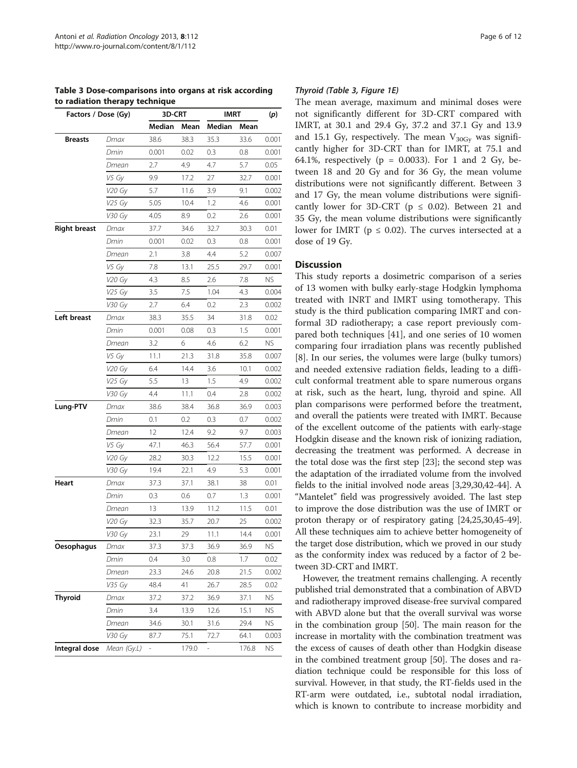<span id="page-5-0"></span>Table 3 Dose-comparisons into organs at risk according to radiation therapy technique

| Factors / Dose (Gy) |             | 3D-CRT |       | <b>IMRT</b> | (p)   |       |
|---------------------|-------------|--------|-------|-------------|-------|-------|
|                     |             | Median | Mean  | Median      | Mean  |       |
| <b>Breasts</b>      | Dmax        | 38.6   | 38.3  | 35.3        | 33.6  | 0.001 |
|                     | Dmin        | 0.001  | 0.02  | 0.3         | 0.8   | 0.001 |
|                     | Dmean       | 2.7    | 4.9   | 4.7         | 5.7   | 0.05  |
|                     | V5 Gy       | 9.9    | 17.2  | 27          | 32.7  | 0.001 |
|                     | V20 Gy      | 5.7    | 11.6  | 3.9         | 9.1   | 0.002 |
|                     | V25 Gy      | 5.05   | 10.4  | 1.2         | 4.6   | 0.001 |
|                     | V30 Gy      | 4.05   | 8.9   | 0.2         | 2.6   | 0.001 |
| <b>Right breast</b> | Dmax        | 37.7   | 34.6  | 32.7        | 30.3  | 0.01  |
|                     | Dmin        | 0.001  | 0.02  | 0.3         | 0.8   | 0.001 |
|                     | Dmean       | 2.1    | 3.8   | 4.4         | 5.2   | 0.007 |
|                     | V5 Gy       | 7.8    | 13.1  | 25.5        | 29.7  | 0.001 |
|                     | V20 Gy      | 4.3    | 8.5   | 2.6         | 7.8   | NS    |
|                     | V25 Gy      | 3.5    | 7.5   | 1.04        | 4.3   | 0.004 |
|                     | V30 Gy      | 2.7    | 6.4   | 0.2         | 2.3   | 0.002 |
| Left breast         | Dmax        | 38.3   | 35.5  | 34          | 31.8  | 0.02  |
|                     | Dmin        | 0.001  | 0.08  | 0.3         | 1.5   | 0.001 |
|                     | Dmean       | 3.2    | 6     | 4.6         | 6.2   | ΝS    |
|                     | V5 Gy       | 11.1   | 21.3  | 31.8        | 35.8  | 0.007 |
|                     | V20 Gy      | 6.4    | 14.4  | 3.6         | 10.1  | 0.002 |
|                     | V25 Gy      | 5.5    | 13    | 1.5         | 4.9   | 0.002 |
|                     | V30 Gy      | 4.4    | 11.1  | 0.4         | 2.8   | 0.002 |
| Lung-PTV            | <b>Dmax</b> | 38.6   | 38.4  | 36.8        | 36.9  | 0.003 |
|                     | Dmin        | 0.1    | 0.2   | 0.3         | 0.7   | 0.002 |
|                     | Dmean       | 12     | 12.4  | 9.2         | 9.7   | 0.003 |
|                     | V5 Gy       | 47.1   | 46.3  | 56.4        | 57.7  | 0.001 |
|                     | V20 Gy      | 28.2   | 30.3  | 12.2        | 15.5  | 0.001 |
|                     | V30 Gy      | 19.4   | 22.1  | 4.9         | 5.3   | 0.001 |
| Heart               | Dmax        | 37.3   | 37.1  | 38.1        | 38    | 0.01  |
|                     | Dmin        | 0.3    | 0.6   | 0.7         | 1.3   | 0.001 |
|                     | Dmean       | 13     | 13.9  | 11.2        | 11.5  | 0.01  |
|                     | V20 Gy      | 32.3   | 35.7  | 20.7        | 25    | 0.002 |
|                     | V30 Gy      | 23.1   | 29    | 11.1        | 14.4  | 0.001 |
| Oesophagus          | Dmax        | 37.3   | 37.3  | 36.9        | 36.9  | ΝS    |
|                     | Dmin        | 0.4    | 3.0   | 0.8         | 1.7   | 0.02  |
|                     | Dmean       | 23.3   | 24.6  | 20.8        | 21.5  | 0.002 |
|                     | V35 Gy      | 48.4   | 41    | 26.7        | 28.5  | 0.02  |
| <b>Thyroid</b>      | Dmax        | 37.2   | 37.2  | 36.9        | 37.1  | ΝS    |
|                     | Dmin        | 3.4    | 13.9  | 12.6        | 15.1  | ΝS    |
|                     | Dmean       | 34.6   | 30.1  | 31.6        | 29.4  | NS    |
|                     | V30 Gy      | 87.7   | 75.1  | 72.7        | 64.1  | 0.003 |
| Integral dose       | Mean (Gy.L) |        | 179.0 |             | 176.8 | ΝS    |

#### Thyroid (Table 3, Figure [1](#page-6-0)E)

The mean average, maximum and minimal doses were not significantly different for 3D-CRT compared with IMRT, at 30.1 and 29.4 Gy, 37.2 and 37.1 Gy and 13.9 and 15.1 Gy, respectively. The mean  $V_{30\text{Gv}}$  was significantly higher for 3D-CRT than for IMRT, at 75.1 and 64.1%, respectively ( $p = 0.0033$ ). For 1 and 2 Gy, between 18 and 20 Gy and for 36 Gy, the mean volume distributions were not significantly different. Between 3 and 17 Gy, the mean volume distributions were significantly lower for 3D-CRT ( $p \le 0.02$ ). Between 21 and 35 Gy, the mean volume distributions were significantly lower for IMRT ( $p \le 0.02$ ). The curves intersected at a dose of 19 Gy.

## **Discussion**

This study reports a dosimetric comparison of a series of 13 women with bulky early-stage Hodgkin lymphoma treated with INRT and IMRT using tomotherapy. This study is the third publication comparing IMRT and conformal 3D radiotherapy; a case report previously compared both techniques [\[41](#page-10-0)], and one series of 10 women comparing four irradiation plans was recently published [[8\]](#page-9-0). In our series, the volumes were large (bulky tumors) and needed extensive radiation fields, leading to a difficult conformal treatment able to spare numerous organs at risk, such as the heart, lung, thyroid and spine. All plan comparisons were performed before the treatment, and overall the patients were treated with IMRT. Because of the excellent outcome of the patients with early-stage Hodgkin disease and the known risk of ionizing radiation, decreasing the treatment was performed. A decrease in the total dose was the first step [\[23\]](#page-9-0); the second step was the adaptation of the irradiated volume from the involved fields to the initial involved node areas [[3,29](#page-9-0),[30](#page-9-0)[,42-44](#page-10-0)]. A "Mantelet" field was progressively avoided. The last step to improve the dose distribution was the use of IMRT or proton therapy or of respiratory gating [\[24,25,30,](#page-9-0)[45](#page-10-0)-[49](#page-10-0)]. All these techniques aim to achieve better homogeneity of the target dose distribution, which we proved in our study as the conformity index was reduced by a factor of 2 between 3D-CRT and IMRT.

However, the treatment remains challenging. A recently published trial demonstrated that a combination of ABVD and radiotherapy improved disease-free survival compared with ABVD alone but that the overall survival was worse in the combination group [[50\]](#page-10-0). The main reason for the increase in mortality with the combination treatment was the excess of causes of death other than Hodgkin disease in the combined treatment group [\[50\]](#page-10-0). The doses and radiation technique could be responsible for this loss of survival. However, in that study, the RT-fields used in the RT-arm were outdated, i.e., subtotal nodal irradiation, which is known to contribute to increase morbidity and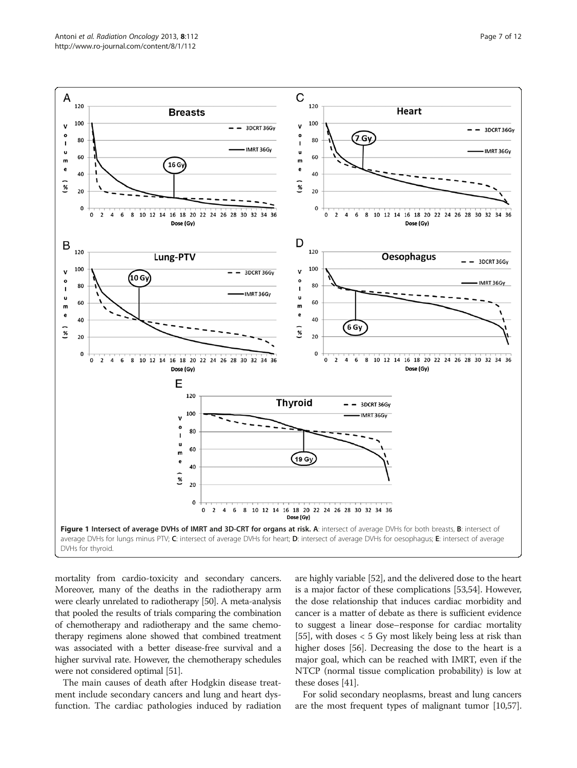<span id="page-6-0"></span>

mortality from cardio-toxicity and secondary cancers. Moreover, many of the deaths in the radiotherapy arm were clearly unrelated to radiotherapy [\[50\]](#page-10-0). A meta-analysis that pooled the results of trials comparing the combination of chemotherapy and radiotherapy and the same chemotherapy regimens alone showed that combined treatment was associated with a better disease-free survival and a higher survival rate. However, the chemotherapy schedules were not considered optimal [\[51\]](#page-10-0).

The main causes of death after Hodgkin disease treatment include secondary cancers and lung and heart dysfunction. The cardiac pathologies induced by radiation

are highly variable [[52\]](#page-10-0), and the delivered dose to the heart is a major factor of these complications [\[53,54\]](#page-10-0). However, the dose relationship that induces cardiac morbidity and cancer is a matter of debate as there is sufficient evidence to suggest a linear dose–response for cardiac mortality [[55](#page-10-0)], with doses < 5 Gy most likely being less at risk than higher doses [\[56](#page-10-0)]. Decreasing the dose to the heart is a major goal, which can be reached with IMRT, even if the NTCP (normal tissue complication probability) is low at these doses [[41](#page-10-0)].

For solid secondary neoplasms, breast and lung cancers are the most frequent types of malignant tumor [\[10,](#page-9-0)[57](#page-10-0)].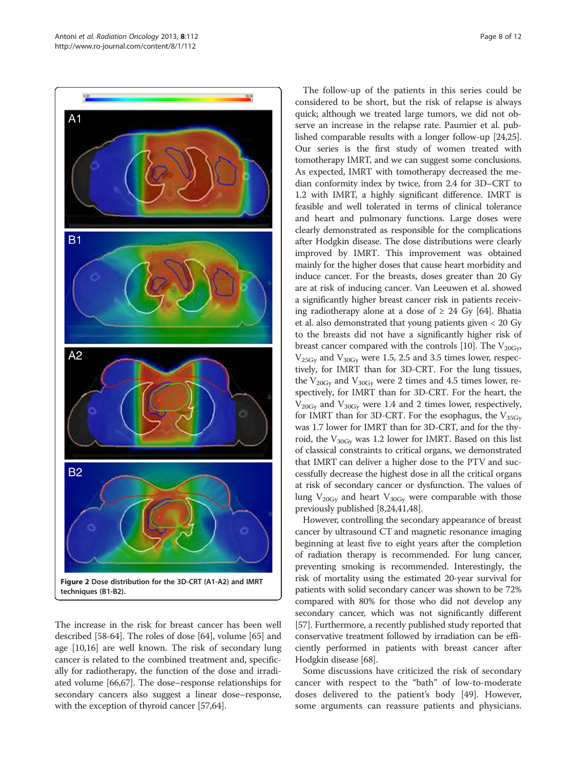<span id="page-7-0"></span>

The increase in the risk for breast cancer has been well described [[58](#page-10-0)-[64](#page-10-0)]. The roles of dose [\[64\]](#page-10-0), volume [\[65\]](#page-10-0) and age [\[10,16\]](#page-9-0) are well known. The risk of secondary lung cancer is related to the combined treatment and, specifically for radiotherapy, the function of the dose and irradiated volume [\[66,67](#page-10-0)]. The dose–response relationships for secondary cancers also suggest a linear dose–response, with the exception of thyroid cancer [\[57,64](#page-10-0)].

The follow-up of the patients in this series could be considered to be short, but the risk of relapse is always quick; although we treated large tumors, we did not observe an increase in the relapse rate. Paumier et al. published comparable results with a longer follow-up [\[24,25](#page-9-0)]. Our series is the first study of women treated with tomotherapy IMRT, and we can suggest some conclusions. As expected, IMRT with tomotherapy decreased the median conformity index by twice, from 2.4 for 3D–CRT to 1.2 with IMRT, a highly significant difference. IMRT is feasible and well tolerated in terms of clinical tolerance and heart and pulmonary functions. Large doses were clearly demonstrated as responsible for the complications after Hodgkin disease. The dose distributions were clearly improved by IMRT. This improvement was obtained mainly for the higher doses that cause heart morbidity and induce cancer. For the breasts, doses greater than 20 Gy are at risk of inducing cancer. Van Leeuwen et al. showed a significantly higher breast cancer risk in patients receiving radiotherapy alone at a dose of  $\geq$  24 Gy [[64](#page-10-0)]. Bhatia et al. also demonstrated that young patients given < 20 Gy to the breasts did not have a significantly higher risk of breast cancer compared with the controls [\[10\]](#page-9-0). The  $V_{20\text{Gv}}$  $V_{25Gy}$  and  $V_{30Gy}$  were 1.5, 2.5 and 3.5 times lower, respectively, for IMRT than for 3D-CRT. For the lung tissues, the  $V_{20\text{Gy}}$  and  $V_{30\text{Gy}}$  were 2 times and 4.5 times lower, respectively, for IMRT than for 3D-CRT. For the heart, the  $V_{20Gy}$  and  $V_{30Gy}$  were 1.4 and 2 times lower, respectively, for IMRT than for 3D-CRT. For the esophagus, the  $V_{35Gv}$ was 1.7 lower for IMRT than for 3D-CRT, and for the thyroid, the  $V_{30\text{Gv}}$  was 1.2 lower for IMRT. Based on this list of classical constraints to critical organs, we demonstrated that IMRT can deliver a higher dose to the PTV and successfully decrease the highest dose in all the critical organs at risk of secondary cancer or dysfunction. The values of lung  $V_{20Gy}$  and heart  $V_{30Gy}$  were comparable with those previously published [\[8,24](#page-9-0)[,41,48](#page-10-0)].

However, controlling the secondary appearance of breast cancer by ultrasound CT and magnetic resonance imaging beginning at least five to eight years after the completion of radiation therapy is recommended. For lung cancer, preventing smoking is recommended. Interestingly, the risk of mortality using the estimated 20-year survival for patients with solid secondary cancer was shown to be 72% compared with 80% for those who did not develop any secondary cancer, which was not significantly different [[57](#page-10-0)]. Furthermore, a recently published study reported that conservative treatment followed by irradiation can be efficiently performed in patients with breast cancer after Hodgkin disease [\[68](#page-10-0)].

Some discussions have criticized the risk of secondary cancer with respect to the "bath" of low-to-moderate doses delivered to the patient's body [\[49](#page-10-0)]. However, some arguments can reassure patients and physicians.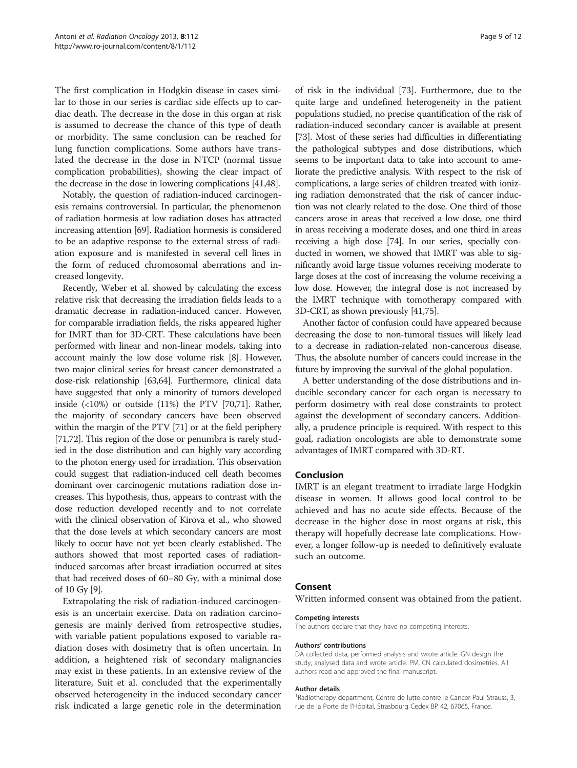The first complication in Hodgkin disease in cases similar to those in our series is cardiac side effects up to cardiac death. The decrease in the dose in this organ at risk is assumed to decrease the chance of this type of death or morbidity. The same conclusion can be reached for lung function complications. Some authors have translated the decrease in the dose in NTCP (normal tissue complication probabilities), showing the clear impact of the decrease in the dose in lowering complications [\[41,48](#page-10-0)].

Notably, the question of radiation-induced carcinogenesis remains controversial. In particular, the phenomenon of radiation hormesis at low radiation doses has attracted increasing attention [[69](#page-10-0)]. Radiation hormesis is considered to be an adaptive response to the external stress of radiation exposure and is manifested in several cell lines in the form of reduced chromosomal aberrations and increased longevity.

Recently, Weber et al. showed by calculating the excess relative risk that decreasing the irradiation fields leads to a dramatic decrease in radiation-induced cancer. However, for comparable irradiation fields, the risks appeared higher for IMRT than for 3D-CRT. These calculations have been performed with linear and non-linear models, taking into account mainly the low dose volume risk [\[8\]](#page-9-0). However, two major clinical series for breast cancer demonstrated a dose-risk relationship [\[63,64](#page-10-0)]. Furthermore, clinical data have suggested that only a minority of tumors developed inside  $($ <10%) or outside  $(11%)$  the PTV  $[70,71]$  $[70,71]$ . Rather, the majority of secondary cancers have been observed within the margin of the PTV [\[71\]](#page-10-0) or at the field periphery [[71,72\]](#page-10-0). This region of the dose or penumbra is rarely studied in the dose distribution and can highly vary according to the photon energy used for irradiation. This observation could suggest that radiation-induced cell death becomes dominant over carcinogenic mutations radiation dose increases. This hypothesis, thus, appears to contrast with the dose reduction developed recently and to not correlate with the clinical observation of Kirova et al., who showed that the dose levels at which secondary cancers are most likely to occur have not yet been clearly established. The authors showed that most reported cases of radiationinduced sarcomas after breast irradiation occurred at sites that had received doses of 60–80 Gy, with a minimal dose of 10 Gy [\[9\]](#page-9-0).

Extrapolating the risk of radiation-induced carcinogenesis is an uncertain exercise. Data on radiation carcinogenesis are mainly derived from retrospective studies, with variable patient populations exposed to variable radiation doses with dosimetry that is often uncertain. In addition, a heightened risk of secondary malignancies may exist in these patients. In an extensive review of the literature, Suit et al. concluded that the experimentally observed heterogeneity in the induced secondary cancer risk indicated a large genetic role in the determination

of risk in the individual [[73\]](#page-10-0). Furthermore, due to the quite large and undefined heterogeneity in the patient populations studied, no precise quantification of the risk of radiation-induced secondary cancer is available at present [[73](#page-10-0)]. Most of these series had difficulties in differentiating the pathological subtypes and dose distributions, which seems to be important data to take into account to ameliorate the predictive analysis. With respect to the risk of complications, a large series of children treated with ionizing radiation demonstrated that the risk of cancer induction was not clearly related to the dose. One third of those cancers arose in areas that received a low dose, one third in areas receiving a moderate doses, and one third in areas receiving a high dose [\[74\]](#page-11-0). In our series, specially conducted in women, we showed that IMRT was able to significantly avoid large tissue volumes receiving moderate to large doses at the cost of increasing the volume receiving a low dose. However, the integral dose is not increased by the IMRT technique with tomotherapy compared with 3D-CRT, as shown previously [\[41,](#page-10-0)[75](#page-11-0)].

Another factor of confusion could have appeared because decreasing the dose to non-tumoral tissues will likely lead to a decrease in radiation-related non-cancerous disease. Thus, the absolute number of cancers could increase in the future by improving the survival of the global population.

A better understanding of the dose distributions and inducible secondary cancer for each organ is necessary to perform dosimetry with real dose constraints to protect against the development of secondary cancers. Additionally, a prudence principle is required. With respect to this goal, radiation oncologists are able to demonstrate some advantages of IMRT compared with 3D-RT.

#### Conclusion

IMRT is an elegant treatment to irradiate large Hodgkin disease in women. It allows good local control to be achieved and has no acute side effects. Because of the decrease in the higher dose in most organs at risk, this therapy will hopefully decrease late complications. However, a longer follow-up is needed to definitively evaluate such an outcome.

#### Consent

Written informed consent was obtained from the patient.

#### Competing interests

The authors declare that they have no competing interests.

#### Authors' contributions

DA collected data, performed analysis and wrote article. GN design the study, analysed data and wrote article. PM, CN calculated dosimetries. All authors read and approved the final manuscript.

#### Author details

<sup>1</sup> Radiotherapy department, Centre de lutte contre le Cancer Paul Strauss, 3 rue de la Porte de l'Hôpital, Strasbourg Cedex BP 42, 67065, France.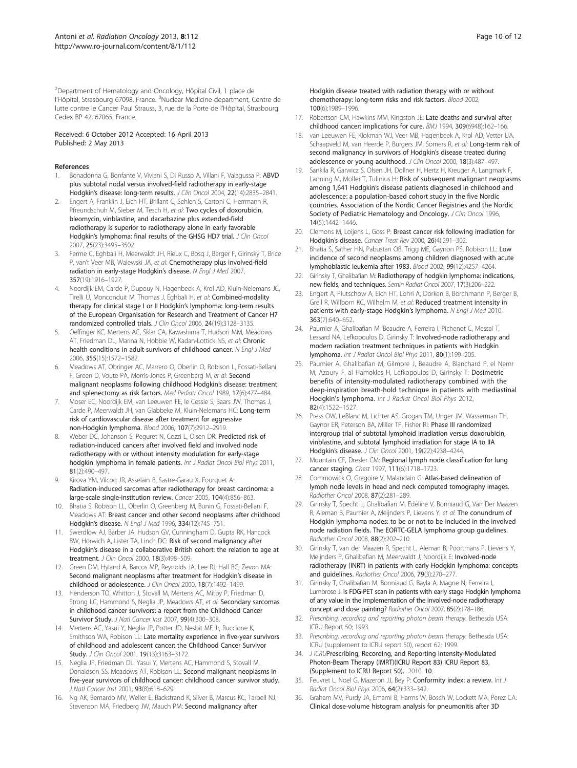<span id="page-9-0"></span>2 Department of Hematology and Oncology, Hôpital Civil, 1 place de l'Hôpital, Strasbourg 67098, France. <sup>3</sup>Nuclear Medicine department, Centre de lutte contre le Cancer Paul Strauss, 3, rue de la Porte de l'Hôpital, Strasbourg Cedex BP 42, 67065, France.

#### Received: 6 October 2012 Accepted: 16 April 2013 Published: 2 May 2013

#### References

- 1. Bonadonna G, Bonfante V, Viviani S, Di Russo A, Villani F, Valagussa P: ABVD plus subtotal nodal versus involved-field radiotherapy in early-stage Hodgkin's disease: long-term results. J Clin Oncol 2004, 22(14):2835–2841.
- 2. Engert A, Franklin J, Eich HT, Brillant C, Sehlen S, Cartoni C, Herrmann R, Pfreundschuh M, Sieber M, Tesch H, et al: Two cycles of doxorubicin, bleomycin, vinblastine, and dacarbazine plus extended-field radiotherapy is superior to radiotherapy alone in early favorable Hodgkin's lymphoma: final results of the GHSG HD7 trial. J Clin Oncol 2007, 25(23):3495–3502.
- 3. Ferme C, Eghbali H, Meerwaldt JH, Rieux C, Bosq J, Berger F, Girinsky T, Brice P, van't Veer MB, Walewski JA, et al: Chemotherapy plus involved-field radiation in early-stage Hodgkin's disease. N Engl J Med 2007, 357(19):1916–1927.
- 4. Noordijk EM, Carde P, Dupouy N, Hagenbeek A, Krol AD, Kluin-Nelemans JC, Tirelli U, Monconduit M, Thomas J, Eghbali H, et al: Combined-modality therapy for clinical stage I or II Hodgkin's lymphoma: long-term results of the European Organisation for Research and Treatment of Cancer H7 randomized controlled trials. J Clin Oncol 2006, 24(19):3128–3135.
- 5. Oeffinger KC, Mertens AC, Sklar CA, Kawashima T, Hudson MM, Meadows AT, Friedman DL, Marina N, Hobbie W, Kadan-Lottick NS, et al: Chronic health conditions in adult survivors of childhood cancer. N Engl J Med 2006, 355(15):1572–1582.
- 6. Meadows AT, Obringer AC, Marrero O, Oberlin O, Robison L, Fossati-Bellani F, Green D, Voute PA, Morris-Jones P, Greenberg M, et al: Second malignant neoplasms following childhood Hodgkin's disease: treatment and splenectomy as risk factors. Med Pediatr Oncol 1989, 17(6):477–484.
- 7. Moser EC, Noordijk EM, van Leeuwen FE, le Cessie S, Baars JW, Thomas J, Carde P, Meerwaldt JH, van Glabbeke M, Kluin-Nelemans HC: Long-term risk of cardiovascular disease after treatment for aggressive non-Hodgkin lymphoma. Blood 2006, 107(7):2912–2919.
- Weber DC, Johanson S, Peguret N, Cozzi L, Olsen DR: Predicted risk of radiation-induced cancers after involved field and involved node radiotherapy with or without intensity modulation for early-stage hodgkin lymphoma in female patients. Int J Radiat Oncol Biol Phys 2011, 81(2):490–497.
- 9. Kirova YM, Vilcoq JR, Asselain B, Sastre-Garau X, Fourquet A: Radiation-induced sarcomas after radiotherapy for breast carcinoma: a large-scale single-institution review. Cancer 2005, 104(4):856–863.
- 10. Bhatia S, Robison LL, Oberlin O, Greenberg M, Bunin G, Fossati-Bellani F, Meadows AT: Breast cancer and other second neoplasms after childhood Hodgkin's disease. N Engl J Med 1996, 334(12):745–751.
- 11. Swerdlow AJ, Barber JA, Hudson GV, Cunningham D, Gupta RK, Hancock BW, Horwich A, Lister TA, Linch DC: Risk of second malignancy after Hodgkin's disease in a collaborative British cohort: the relation to age at treatment. J Clin Oncol 2000, 18(3):498–509.
- 12. Green DM, Hyland A, Barcos MP, Reynolds JA, Lee RJ, Hall BC, Zevon MA: Second malignant neoplasms after treatment for Hodgkin's disease in childhood or adolescence. J Clin Oncol 2000, 18(7):1492–1499.
- 13. Henderson TO, Whitton J, Stovall M, Mertens AC, Mitby P, Friedman D, Strong LC, Hammond S, Neglia JP, Meadows AT, et al: Secondary sarcomas in childhood cancer survivors: a report from the Childhood Cancer Survivor Study. J Natl Cancer Inst 2007, 99(4):300-308.
- 14. Mertens AC, Yasui Y, Neglia JP, Potter JD, Nesbit ME Jr, Ruccione K, Smithson WA, Robison LL: Late mortality experience in five-year survivors of childhood and adolescent cancer: the Childhood Cancer Survivor Study. J Clin Oncol 2001, 19(13):3163–3172.
- 15. Neglia JP, Friedman DL, Yasui Y, Mertens AC, Hammond S, Stovall M, Donaldson SS, Meadows AT, Robison LL: Second malignant neoplasms in five-year survivors of childhood cancer: childhood cancer survivor study. J Natl Cancer Inst 2001, 93(8):618–629.
- 16. Ng AK, Bernardo MV, Weller E, Backstrand K, Silver B, Marcus KC, Tarbell NJ, Stevenson MA, Friedberg JW, Mauch PM: Second malignancy after

Hodgkin disease treated with radiation therapy with or without chemotherapy: long-term risks and risk factors. Blood 2002, 100(6):1989–1996.

- 17. Robertson CM, Hawkins MM, Kingston JE: Late deaths and survival after childhood cancer: implications for cure. BMJ 1994, 309(6948):162–166.
- 18. van Leeuwen FE, Klokman WJ, Veer MB, Hagenbeek A, Krol AD, Vetter UA, Schaapveld M, van Heerde P, Burgers JM, Somers R, et al: Long-term risk of second malignancy in survivors of Hodgkin's disease treated during adolescence or young adulthood. J Clin Oncol 2000, 18(3):487–497.
- 19. Sankila R, Garwicz S, Olsen JH, Dollner H, Hertz H, Kreuger A, Langmark F, Lanning M, Moller T, Tulinius H: Risk of subsequent malignant neoplasms among 1,641 Hodgkin's disease patients diagnosed in childhood and adolescence: a population-based cohort study in the five Nordic countries. Association of the Nordic Cancer Registries and the Nordic Society of Pediatric Hematology and Oncology. J Clin Oncol 1996, 14(5):1442–1446.
- 20. Clemons M, Loijens L, Goss P: Breast cancer risk following irradiation for Hodgkin's disease. Cancer Treat Rev 2000, 26(4):291–302.
- 21. Bhatia S, Sather HN, Pabustan OB, Trigg ME, Gaynon PS, Robison LL: Low incidence of second neoplasms among children diagnosed with acute lymphoblastic leukemia after 1983. Blood 2002, 99(12):4257–4264.
- 22. Girinsky T, Ghalibafian M: Radiotherapy of hodgkin lymphoma: indications, new fields, and techniques. Semin Radiat Oncol 2007, 17(3):206–222.
- 23. Engert A, Plutschow A, Eich HT, Lohri A, Dorken B, Borchmann P, Berger B, Greil R, Willborn KC, Wilhelm M, et al: Reduced treatment intensity in patients with early-stage Hodgkin's lymphoma. N Engl J Med 2010, 363(7):640–652.
- 24. Paumier A, Ghalibafian M, Beaudre A, Ferreira I, Pichenot C, Messai T, Lessard NA, Lefkopoulos D, Girinsky T: Involved-node radiotherapy and modern radiation treatment techniques in patients with Hodgkin lymphoma. Int J Radiat Oncol Biol Phys 2011, 80(1):199–205.
- 25. Paumier A, Ghalibafian M, Gilmore J, Beaudre A, Blanchard P, el Nemr M, Azoury F, al Hamokles H, Lefkopoulos D, Girinsky T: Dosimetric benefits of intensity-modulated radiotherapy combined with the deep-inspiration breath-hold technique in patients with mediastinal Hodgkin's lymphoma. Int J Radiat Oncol Biol Phys 2012, 82(4):1522–1527.
- 26. Press OW, LeBlanc M, Lichter AS, Grogan TM, Unger JM, Wasserman TH, Gaynor ER, Peterson BA, Miller TP, Fisher RI: Phase III randomized intergroup trial of subtotal lymphoid irradiation versus doxorubicin, vinblastine, and subtotal lymphoid irradiation for stage IA to IIA Hodgkin's disease. J Clin Oncol 2001, 19(22):4238–4244.
- 27. Mountain CF, Dresler CM: Regional lymph node classification for lung cancer staging. Chest 1997, 111(6):1718–1723.
- 28. Commowick O, Gregoire V, Malandain G: Atlas-based delineation of lymph node levels in head and neck computed tomography images. Radiother Oncol 2008, 87(2):281–289.
- 29. Girinsky T, Specht L, Ghalibafian M, Edeline V, Bonniaud G, Van Der Maazen R, Aleman B, Paumier A, Meijnders P, Lievens Y, et al: The conundrum of Hodgkin lymphoma nodes: to be or not to be included in the involved node radiation fields. The EORTC-GELA lymphoma group guidelines. Radiother Oncol 2008, 88(2):202–210.
- 30. Girinsky T, van der Maazen R, Specht L, Aleman B, Poortmans P, Lievens Y, Meijnders P, Ghalibafian M, Meerwaldt J, Noordijk E: Involved-node radiotherapy (INRT) in patients with early Hodgkin lymphoma: concepts and guidelines. Radiother Oncol 2006, 79(3):270–277.
- 31. Girinsky T, Ghalibafian M, Bonniaud G, Bayla A, Magne N, Ferreira I, Lumbroso J: Is FDG-PET scan in patients with early stage Hodgkin lymphoma of any value in the implementation of the involved-node radiotherapy concept and dose painting? Radiother Oncol 2007, 85(2):178–186.
- 32. Prescribing, recording and reporting photon beam therapy. Bethesda USA: ICRU Report 50; 1993.
- 33. Prescribing, recording and reporting photon beam therapy. Bethesda USA: ICRU (supplement to ICRU report 50), report 62; 1999.
- 34. J ICRUPrescribing, Recording, and Reporting Intensity-Modulated Photon-Beam Therapy (IMRT)(ICRU Report 83) ICRU Report 83, (Supplement to ICRU Report 50). 2010, 10.
- 35. Feuvret L, Noel G, Mazeron JJ, Bey P: Conformity index: a review. Int J Radiat Oncol Biol Phys 2006, 64(2):333–342.
- 36. Graham MV, Purdy JA, Emami B, Harms W, Bosch W, Lockett MA, Perez CA: Clinical dose-volume histogram analysis for pneumonitis after 3D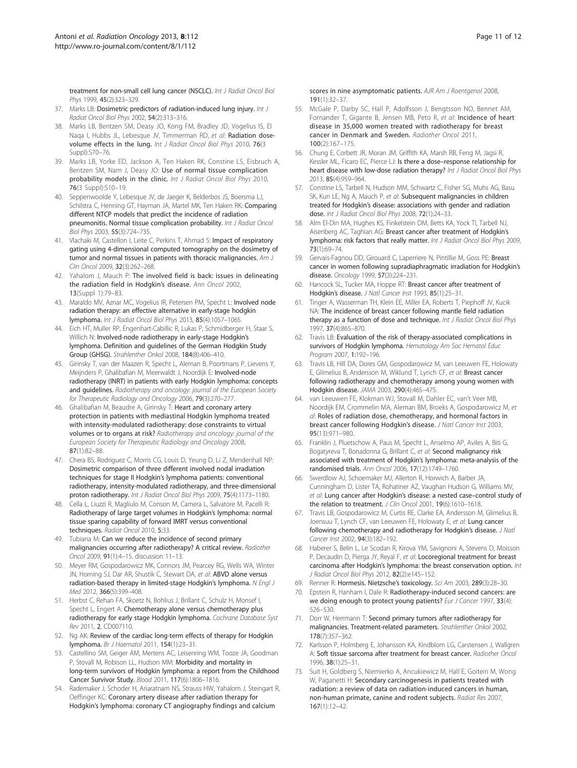<span id="page-10-0"></span>treatment for non-small cell lung cancer (NSCLC). Int J Radiat Oncol Biol Phys 1999, 45(2):323–329.

- 37. Marks LB: Dosimetric predictors of radiation-induced lung injury. Int J Radiat Oncol Biol Phys 2002, 54(2):313–316.
- 38. Marks LB, Bentzen SM, Deasy JO, Kong FM, Bradley JD, Vogelius IS, El Naqa I, Hubbs JL, Lebesque JV, Timmerman RD, et al: Radiation dosevolume effects in the lung. Int J Radiat Oncol Biol Phys 2010, 76(3) Suppl):S70–76.
- 39. Marks LB, Yorke ED, Jackson A, Ten Haken RK, Constine LS, Eisbruch A, Bentzen SM, Nam J, Deasy JO: Use of normal tissue complication probability models in the clinic. Int J Radiat Oncol Biol Phys 2010, 76(3 Suppl):S10–19.
- 40. Seppenwoolde Y, Lebesque JV, de Jaeger K, Belderbos JS, Boersma LJ, Schilstra C, Henning GT, Hayman JA, Martel MK, Ten Haken RK: Comparing different NTCP models that predict the incidence of radiation pneumonitis. Normal tissue complication probability. Int J Radiat Oncol Biol Phys 2003, 55(3):724–735.
- 41. Vlachaki M, Castellon I, Leite C, Perkins T, Ahmad S: Impact of respiratory gating using 4-dimensional computed tomography on the dosimetry of tumor and normal tissues in patients with thoracic malignancies. Am J Clin Oncol 2009, 32(3):262–268.
- 42. Yahalom J, Mauch P: The involved field is back: issues in delineating the radiation field in Hodgkin's disease. Ann Oncol 2002, 13(Suppl 1):79–83.
- 43. Maraldo MV, Aznar MC, Vogelius IR, Petersen PM, Specht L: Involved node radiation therapy: an effective alternative in early-stage hodgkin lymphoma. Int J Radiat Oncol Biol Phys 2013, 85(4):1057–1065.
- 44. Eich HT, Muller RP, Engenhart-Cabillic R, Lukas P, Schmidberger H, Staar S, Willich N: Involved-node radiotherapy in early-stage Hodgkin's lymphoma. Definition and guidelines of the German Hodgkin Study Group (GHSG). Strahlenther Onkol 2008, 184(8):406–410.
- 45. Girinsky T, van der Maazen R, Specht L, Aleman B, Poortmans P, Lievens Y, Meijnders P, Ghalibafian M, Meerwaldt J, Noordijk E: Involved-node radiotherapy (INRT) in patients with early Hodgkin lymphoma: concepts and guidelines. Radiotherapy and oncology: journal of the European Society for Therapeutic Radiology and Oncology 2006, 79(3):270–277.
- 46. Ghalibafian M, Beaudre A, Girinsky T: Heart and coronary artery protection in patients with mediastinal Hodgkin lymphoma treated with intensity-modulated radiotherapy: dose constraints to virtual volumes or to organs at risk? Radiotherapy and oncology: journal of the European Society for Therapeutic Radiology and Oncology 2008, 87(1):82–88.
- 47. Chera BS, Rodriguez C, Morris CG, Louis D, Yeung D, Li Z, Mendenhall NP: Dosimetric comparison of three different involved nodal irradiation techniques for stage II Hodgkin's lymphoma patients: conventional radiotherapy, intensity-modulated radiotherapy, and three-dimensional proton radiotherapy. Int J Radiat Oncol Biol Phys 2009, 75(4):1173–1180.
- 48. Cella L, Liuzzi R, Magliulo M, Conson M, Camera L, Salvatore M, Pacelli R: Radiotherapy of large target volumes in Hodgkin's lymphoma: normal tissue sparing capability of forward IMRT versus conventional techniques. Radiat Oncol 2010, 5:33.
- 49. Tubiana M: Can we reduce the incidence of second primary malignancies occurring after radiotherapy? A critical review. Radiother Oncol 2009, 91(1):4–15. discussion 11–13.
- 50. Meyer RM, Gospodarowicz MK, Connors JM, Pearcey RG, Wells WA, Winter JN, Horning SJ, Dar AR, Shustik C, Stewart DA, et al: ABVD alone versus radiation-based therapy in limited-stage Hodgkin's lymphoma. N Engl J Med 2012, 366(5):399–408.
- 51. Herbst C, Rehan FA, Skoetz N, Bohlius J, Brillant C, Schulz H, Monsef I, Specht L, Engert A: Chemotherapy alone versus chemotherapy plus radiotherapy for early stage Hodgkin lymphoma. Cochrane Database Syst Rev 2011, 2, CD007110.
- 52. Ng AK: Review of the cardiac long-term effects of therapy for Hodgkin lymphoma. Br J Haematol 2011, 154(1):23–31.
- 53. Castellino SM, Geiger AM, Mertens AC, Leisenring WM, Tooze JA, Goodman P, Stovall M, Robison LL, Hudson MM: Morbidity and mortality in long-term survivors of Hodgkin lymphoma: a report from the Childhood Cancer Survivor Study. Blood 2011, 117(6):1806–1816.
- 54. Rademaker J, Schoder H, Ariaratnam NS, Strauss HW, Yahalom J, Steingart R, Oeffinger KC: Coronary artery disease after radiation therapy for Hodgkin's lymphoma: coronary CT angiography findings and calcium

scores in nine asymptomatic patients. AJR Am J Roentgenol 2008, 191(1):32–37.

- 55. McGale P, Darby SC, Hall P, Adolfsson J, Bengtsson NO, Bennet AM, Fornander T, Gigante B, Jensen MB, Peto R, et al: Incidence of heart disease in 35,000 women treated with radiotherapy for breast cancer in Denmark and Sweden. Radiother Oncol 2011, 100(2):167–175.
- 56. Chung E, Corbett JR, Moran JM, Griffith KA, Marsh RB, Feng M, Jagsi R, Kessler ML, Ficaro EC, Pierce LJ: Is there a dose–response relationship for heart disease with low-dose radiation therapy? Int J Radiat Oncol Biol Phys 2013, 85(4):959–964.
- 57. Constine LS, Tarbell N, Hudson MM, Schwartz C, Fisher SG, Muhs AG, Basu SK, Kun LE, Ng A, Mauch P, et al: Subsequent malignancies in children treated for Hodgkin's disease: associations with gender and radiation dose. Int J Radiat Oncol Biol Phys 2008, 72(1):24-33.
- 58. Alm El-Din MA, Hughes KS, Finkelstein DM, Betts KA, Yock TI, Tarbell NJ, Aisenberg AC, Taghian AG: Breast cancer after treatment of Hodgkin's lymphoma: risk factors that really matter. Int J Radiat Oncol Biol Phys 2009, 73(1):69–74.
- 59. Gervais-Fagnou DD, Girouard C, Laperriere N, Pintillie M, Goss PE: Breast cancer in women following supradiaphragmatic irradiation for Hodgkin's disease. Oncology 1999, 57(3):224–231.
- 60. Hancock SL, Tucker MA, Hoppe RT: Breast cancer after treatment of Hodgkin's disease. J Natl Cancer Inst 1993, 85(1):25–31.
- 61. Tinger A, Wasserman TH, Klein EE, Miller EA, Roberts T, Piephoff JV, Kucik NA: The incidence of breast cancer following mantle field radiation therapy as a function of dose and technique. Int J Radiat Oncol Biol Phys 1997, 37(4):865–870.
- 62. Travis LB: Evaluation of the risk of therapy-associated complications in survivors of Hodgkin lymphoma. Hematology Am Soc Hematol Educ Program 2007, 1:192–196.
- 63. Travis LB, Hill DA, Dores GM, Gospodarowicz M, van Leeuwen FE, Holowaty E, Glimelius B, Andersson M, Wiklund T, Lynch CF, et al: Breast cancer following radiotherapy and chemotherapy among young women with Hodgkin disease. JAMA 2003, 290(4):465–475.
- 64. van Leeuwen FE, Klokman WJ, Stovall M, Dahler EC, van't Veer MB, Noordijk EM, Crommelin MA, Aleman BM, Broeks A, Gospodarowicz M, et al: Roles of radiation dose, chemotherapy, and hormonal factors in breast cancer following Hodgkin's disease. J Natl Cancer Inst 2003, 95(13):971–980.
- 65. Franklin J, Pluetschow A, Paus M, Specht L, Anselmo AP, Aviles A, Biti G, Bogatyreva T, Bonadonna G, Brillant C, et al: Second malignancy risk associated with treatment of Hodgkin's lymphoma: meta-analysis of the randomised trials. Ann Oncol 2006, 17(12):1749–1760.
- 66. Swerdlow AJ, Schoemaker MJ, Allerton R, Horwich A, Barber JA, Cunningham D, Lister TA, Rohatiner AZ, Vaughan Hudson G, Williams MV, et al: Lung cancer after Hodgkin's disease: a nested case–control study of the relation to treatment. J Clin Oncol 2001, 19(6):1610-1618.
- 67. Travis LB, Gospodarowicz M, Curtis RE, Clarke EA, Andersson M, Glimelius B, Joensuu T, Lynch CF, van Leeuwen FE, Holowaty E, et al: Lung cancer following chemotherapy and radiotherapy for Hodgkin's disease. J Natl Cancer Inst 2002, 94(3):182–192.
- 68. Haberer S, Belin L, Le Scodan R, Kirova YM, Savignoni A, Stevens D, Moisson P, Decaudin D, Pierga JY, Reyal F, et al: Locoregional treatment for breast carcinoma after Hodgkin's lymphoma: the breast conservation option. Int J Radiat Oncol Biol Phys 2012, 82(2):e145–152.
- 69. Renner R: Hormesis. Nietzsche's toxicology. Sci Am 2003, 289(3):28–30.
- 70. Epstein R, Hanham I, Dale R: Radiotherapy-induced second cancers: are we doing enough to protect young patients? Eur J Cancer 1997, 33(4): 526–530.
- 71. Dorr W, Herrmann T: Second primary tumors after radiotherapy for malignancies. Treatment-related parameters. Strahlenther Onkol 2002, 178(7):357–362.
- 72. Karlsson P, Holmberg E, Johansson KA, Kindblom LG, Carstensen J, Wallgren A: Soft tissue sarcoma after treatment for breast cancer. Radiother Oncol 1996, 38(1):25–31.
- 73. Suit H, Goldberg S, Niemierko A, Ancukiewicz M, Hall E, Goitein M, Wong W, Paganetti H: Secondary carcinogenesis in patients treated with radiation: a review of data on radiation-induced cancers in human, non-human primate, canine and rodent subjects. Radiat Res 2007, 167(1):12–42.